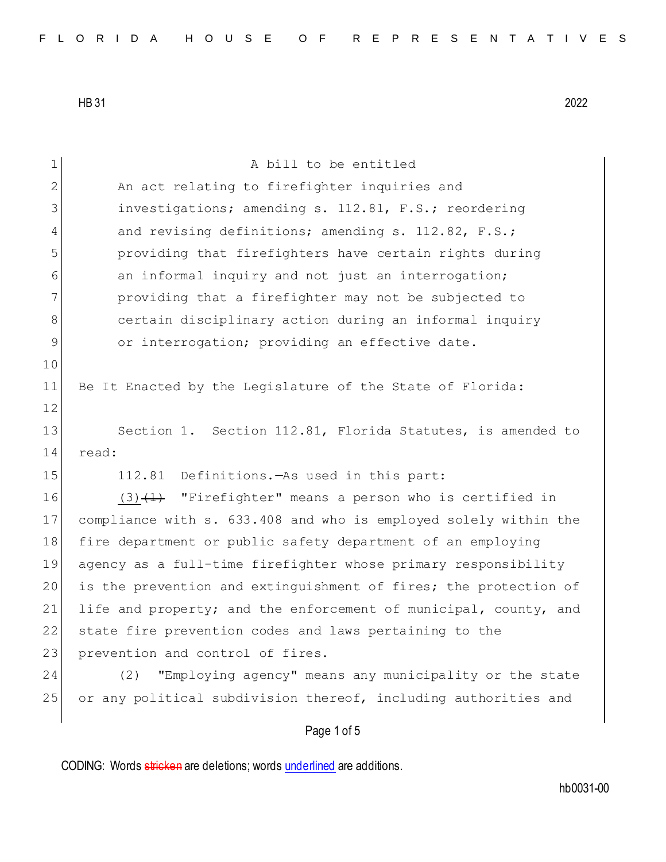| $\mathbf 1$    | A bill to be entitled                                            |
|----------------|------------------------------------------------------------------|
| 2              | An act relating to firefighter inquiries and                     |
| 3              | investigations; amending s. 112.81, F.S.; reordering             |
| 4              | and revising definitions; amending s. 112.82, F.S.;              |
| 5              | providing that firefighters have certain rights during           |
| 6              | an informal inquiry and not just an interrogation;               |
| 7              | providing that a firefighter may not be subjected to             |
| 8              | certain disciplinary action during an informal inquiry           |
| $\overline{9}$ | or interrogation; providing an effective date.                   |
| 10             |                                                                  |
| 11             | Be It Enacted by the Legislature of the State of Florida:        |
| 12             |                                                                  |
| 13             | Section 1. Section 112.81, Florida Statutes, is amended to       |
| 14             | read:                                                            |
| 15             | 112.81<br>Definitions.—As used in this part:                     |
| 16             | "Firefighter" means a person who is certified in<br>$(3) + 1$    |
| 17             | compliance with s. 633.408 and who is employed solely within the |
| 18             | fire department or public safety department of an employing      |
| 19             | agency as a full-time firefighter whose primary responsibility   |
| 20             | is the prevention and extinguishment of fires; the protection of |
| 21             | life and property; and the enforcement of municipal, county, and |
| 22             | state fire prevention codes and laws pertaining to the           |
| 23             | prevention and control of fires.                                 |
| 24             | "Employing agency" means any municipality or the state<br>(2)    |
| 25             | or any political subdivision thereof, including authorities and  |
|                |                                                                  |
|                | Page 1 of 5                                                      |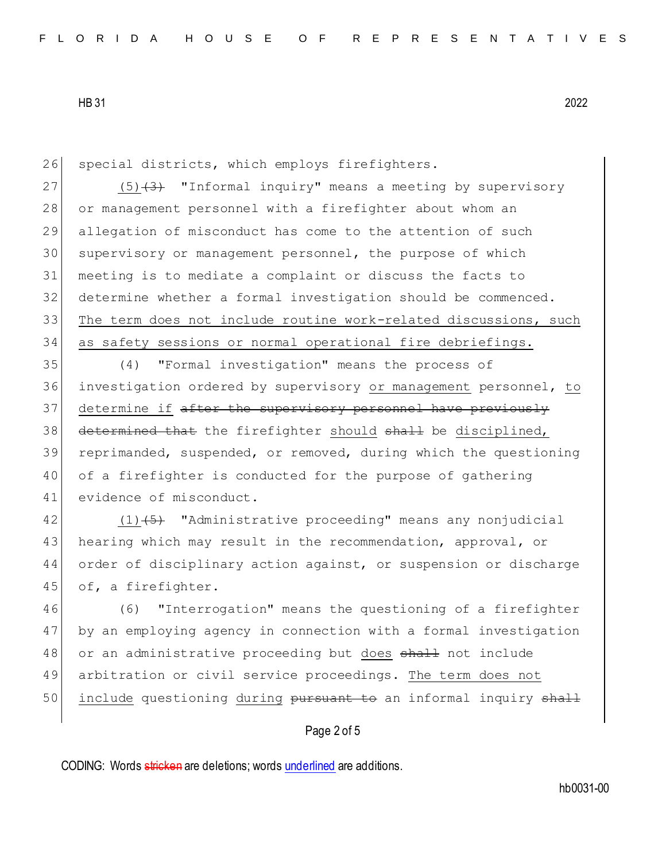26 special districts, which employs firefighters.

 $(5)(3)$  "Informal inquiry" means a meeting by supervisory 28 or management personnel with a firefighter about whom an allegation of misconduct has come to the attention of such 30 supervisory or management personnel, the purpose of which meeting is to mediate a complaint or discuss the facts to determine whether a formal investigation should be commenced. 33 The term does not include routine work-related discussions, such as safety sessions or normal operational fire debriefings.

35 (4) "Formal investigation" means the process of 36 investigation ordered by supervisory or management personnel, to 37 determine if after the supervisory personnel have previously 38 determined that the firefighter should shall be disciplined, 39 reprimanded, suspended, or removed, during which the questioning 40 of a firefighter is conducted for the purpose of gathering 41 evidence of misconduct.

42 (1) (5) "Administrative proceeding" means any nonjudicial 43 hearing which may result in the recommendation, approval, or 44 order of disciplinary action against, or suspension or discharge 45 of, a firefighter.

46 (6) "Interrogation" means the questioning of a firefighter 47 by an employing agency in connection with a formal investigation 48 or an administrative proceeding but does shall not include 49 arbitration or civil service proceedings. The term does not 50 include questioning during pursuant to an informal inquiry shall

## Page 2 of 5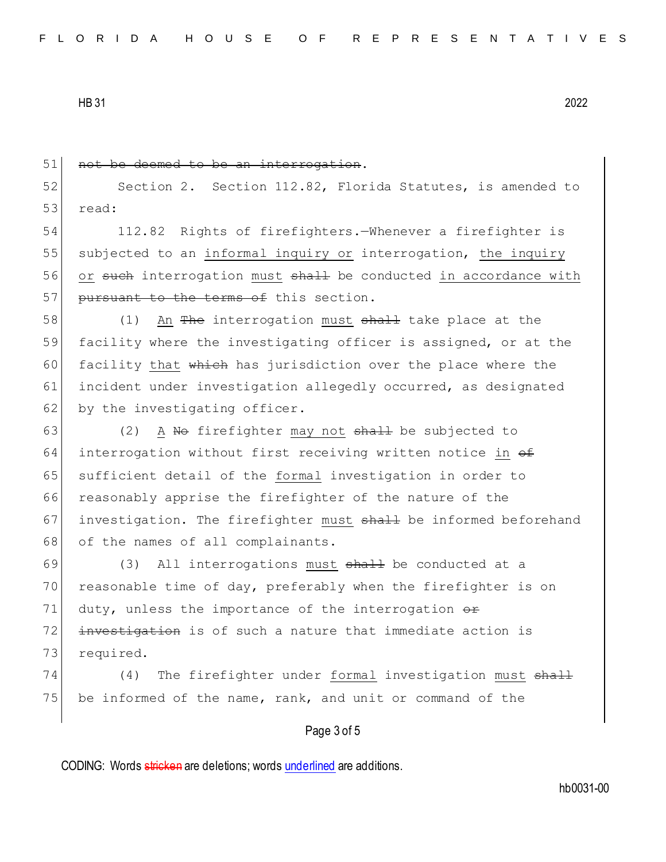51 not be deemed to be an interrogation. 52 Section 2. Section 112.82, Florida Statutes, is amended to 53 read: 54 112.82 Rights of firefighters.—Whenever a firefighter is 55 subjected to an informal inquiry or interrogation, the inquiry 56 or such interrogation must shall be conducted in accordance with 57 pursuant to the terms of this section. 58 (1) An The interrogation must shall take place at the 59 facility where the investigating officer is assigned, or at the 60 facility that  $\frac{1}{2}$  which has jurisdiction over the place where the 61 incident under investigation allegedly occurred, as designated  $62$  by the investigating officer. 63 (2) A No firefighter may not  $shall$  be subjected to 64 interrogation without first receiving written notice in  $\theta$ 65 sufficient detail of the formal investigation in order to 66 reasonably apprise the firefighter of the nature of the 67 investigation. The firefighter must shall be informed beforehand 68 of the names of all complainants. 69 (3) All interrogations must  $\frac{1}{2}$  be conducted at a 70 reasonable time of day, preferably when the firefighter is on 71 duty, unless the importance of the interrogation  $\theta$ 72 investigation is of such a nature that immediate action is 73 required. 74 (4) The firefighter under formal investigation must shall 75 be informed of the name, rank, and unit or command of the

## Page 3 of 5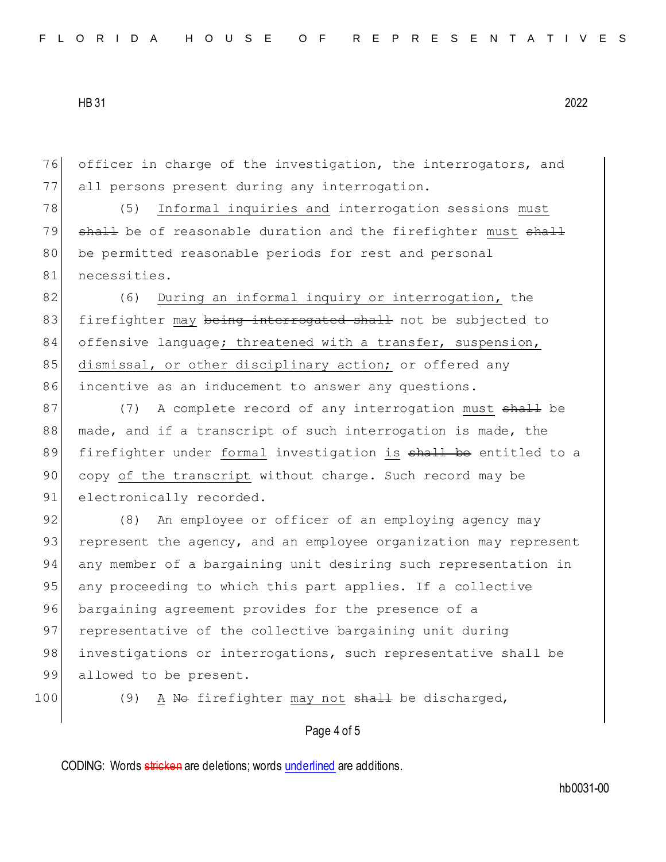76 officer in charge of the investigation, the interrogators, and 77 all persons present during any interrogation.

78 (5) Informal inquiries and interrogation sessions must 79 shall be of reasonable duration and the firefighter must shall 80 be permitted reasonable periods for rest and personal 81 necessities.

82 (6) During an informal inquiry or interrogation, the 83 firefighter may being interrogated shall not be subjected to 84 offensive language; threatened with a transfer, suspension, 85 dismissal, or other disciplinary action; or offered any 86 incentive as an inducement to answer any questions.

87 (7) A complete record of any interrogation must shall be 88 made, and if a transcript of such interrogation is made, the 89 firefighter under formal investigation is shall be entitled to a 90 copy of the transcript without charge. Such record may be 91 electronically recorded.

92 (8) An employee or officer of an employing agency may 93 represent the agency, and an employee organization may represent 94 any member of a bargaining unit desiring such representation in 95 any proceeding to which this part applies. If a collective 96 bargaining agreement provides for the presence of a 97 representative of the collective bargaining unit during 98 investigations or interrogations, such representative shall be 99 allowed to be present.

100 (9) A No firefighter may not shall be discharged,

## Page 4 of 5